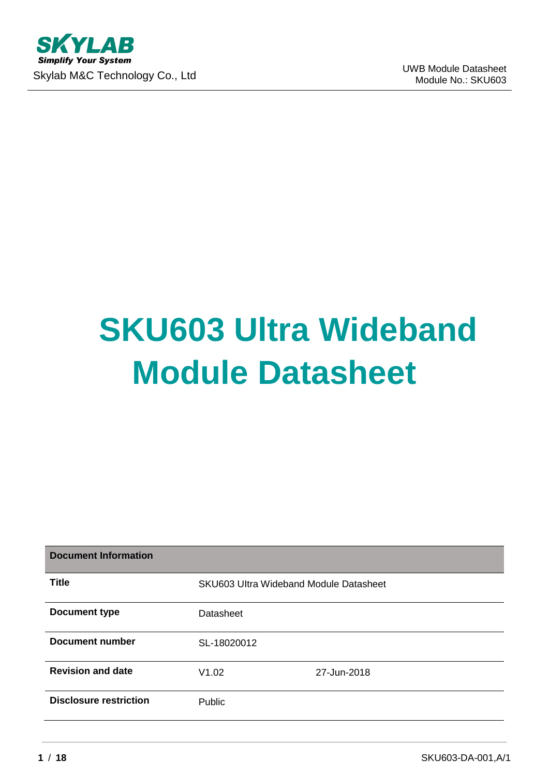# **SKU603 Ultra Wideband Module Datasheet**

| <b>Document Information</b>   |                                        |             |
|-------------------------------|----------------------------------------|-------------|
| <b>Title</b>                  | SKU603 Ultra Wideband Module Datasheet |             |
| <b>Document type</b>          | Datasheet                              |             |
| Document number               | SL-18020012                            |             |
| <b>Revision and date</b>      | V1.02                                  | 27-Jun-2018 |
| <b>Disclosure restriction</b> | Public                                 |             |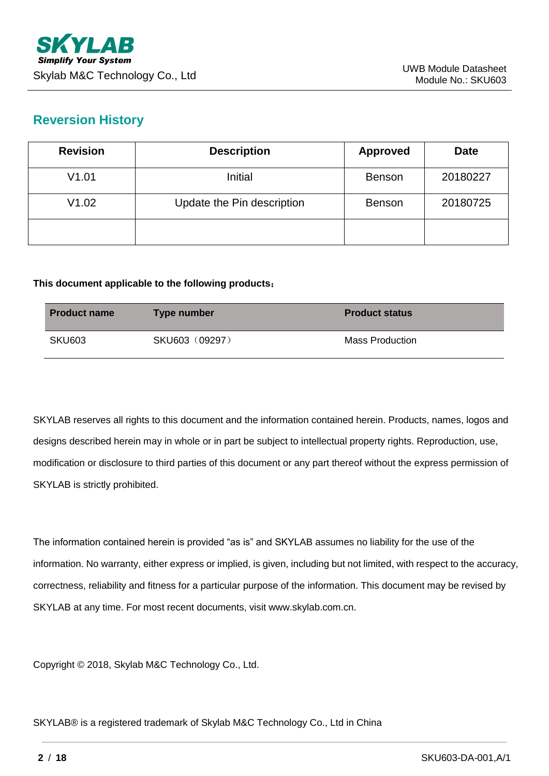## **Reversion History**

| <b>Revision</b> | <b>Description</b>         | <b>Approved</b> | <b>Date</b> |
|-----------------|----------------------------|-----------------|-------------|
| V1.01           | Initial                    | <b>Benson</b>   | 20180227    |
| V1.02           | Update the Pin description | <b>Benson</b>   | 20180725    |
|                 |                            |                 |             |

#### **This document applicable to the following products**:

| <b>Product name</b> | Type number    | <b>Product status</b>  |
|---------------------|----------------|------------------------|
| <b>SKU603</b>       | SKU603 (09297) | <b>Mass Production</b> |

SKYLAB reserves all rights to this document and the information contained herein. Products, names, logos and designs described herein may in whole or in part be subject to intellectual property rights. Reproduction, use, modification or disclosure to third parties of this document or any part thereof without the express permission of SKYLAB is strictly prohibited.

The information contained herein is provided "as is" and SKYLAB assumes no liability for the use of the information. No warranty, either express or implied, is given, including but not limited, with respect to the accuracy, correctness, reliability and fitness for a particular purpose of the information. This document may be revised by SKYLAB at any time. For most recent documents, visit www.skylab.com.cn.

Copyright © 2018, Skylab M&C Technology Co., Ltd.

SKYLAB® is a registered trademark of Skylab M&C Technology Co., Ltd in China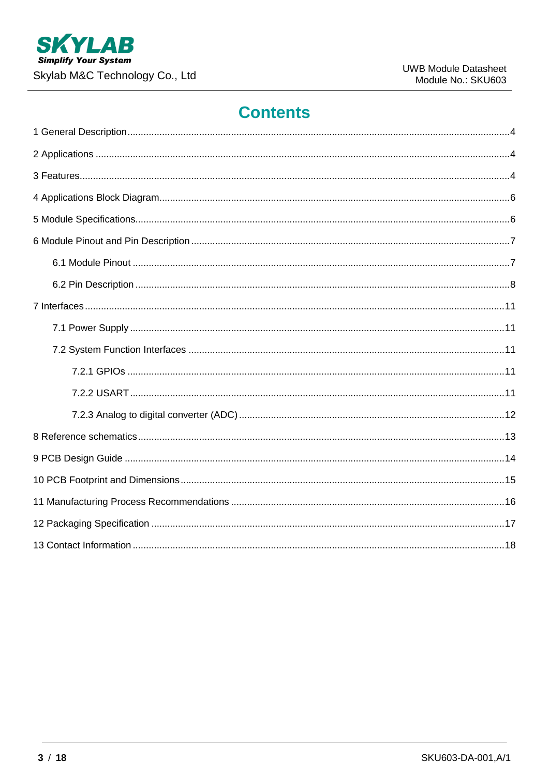

# **Contents**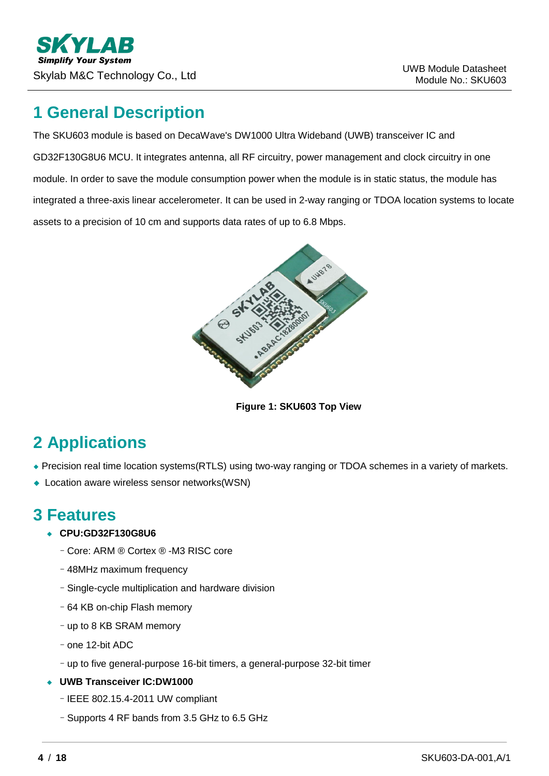## <span id="page-3-0"></span>**1 General Description**

The SKU603 module is based on DecaWave's DW1000 Ultra Wideband (UWB) transceiver IC and GD32F130G8U6 MCU. It integrates antenna, all RF circuitry, power management and clock circuitry in one module. In order to save the module consumption power when the module is in static status, the module has integrated a three-axis linear accelerometer. It can be used in 2-way ranging or TDOA location systems to locate assets to a precision of 10 cm and supports data rates of up to 6.8 Mbps.



**Figure 1: SKU603 Top View**

# <span id="page-3-1"></span>**2 Applications**

- ◆ Precision real time location systems(RTLS) using two-way ranging or TDOA schemes in a variety of markets.
- ◆ Location aware wireless sensor networks(WSN)

## <span id="page-3-2"></span>**3 Features**

#### ◆ **CPU:GD32F130G8U6**

- –Core: ARM ® Cortex ® -M3 RISC core
- –48MHz maximum frequency
- –Single-cycle multiplication and hardware division
- –64 KB on-chip Flash memory
- –up to 8 KB SRAM memory
- –one 12-bit ADC
- –up to five general-purpose 16-bit timers, a general-purpose 32-bit timer
- ◆ **UWB Transceiver IC:DW1000**
	- –IEEE 802.15.4-2011 UW compliant
	- –Supports 4 RF bands from 3.5 GHz to 6.5 GHz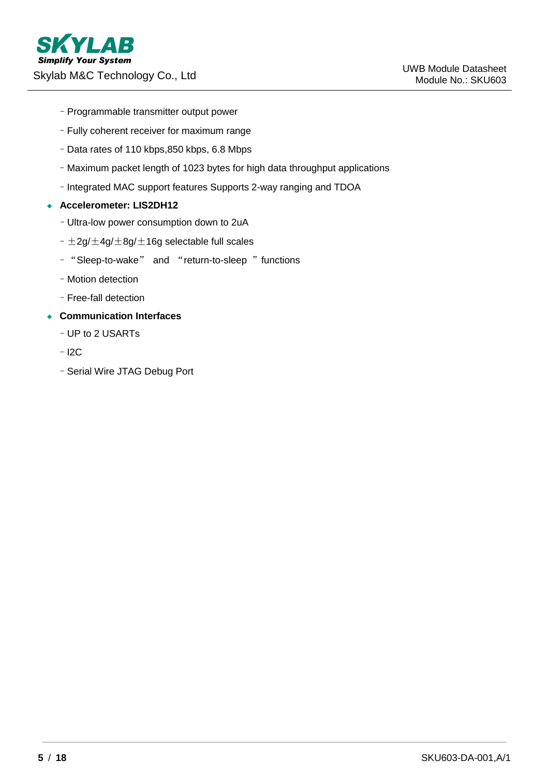- –Programmable transmitter output power
- –Fully coherent receiver for maximum range
- –Data rates of 110 kbps,850 kbps, 6.8 Mbps
- –Maximum packet length of 1023 bytes for high data throughput applications
- –Integrated MAC support features Supports 2-way ranging and TDOA

#### ◆ **Accelerometer: LIS2DH12**

- –Ultra-low power consumption down to 2uA
- $-\pm 2g/\pm 4g/\pm 8g/\pm 16g$  selectable full scales
- –"Sleep-to-wake" and "return-to-sleep "functions
- –Motion detection
- –Free-fall detection
- ◆ **Communication Interfaces**
	- –UP to 2 USARTs
	- –I2C
	- –Serial Wire JTAG Debug Port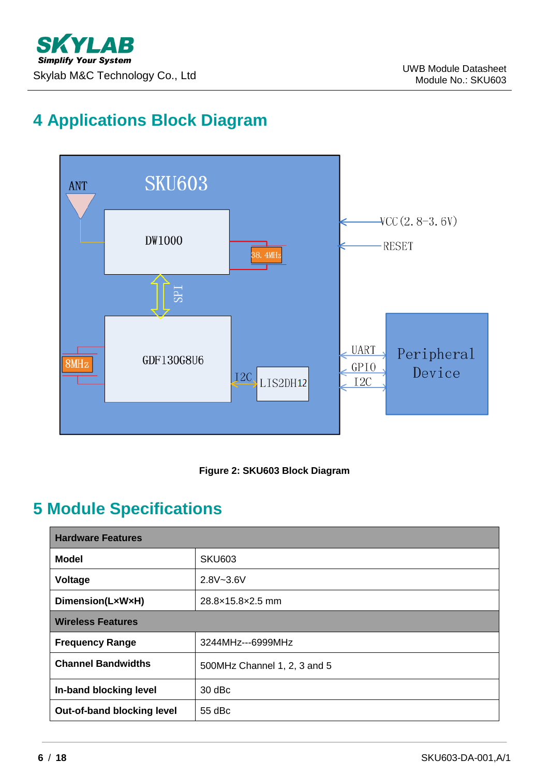# <span id="page-5-0"></span>**4 Applications Block Diagram**





## <span id="page-5-1"></span>**5 Module Specifications**

| <b>Hardware Features</b>   |                              |  |
|----------------------------|------------------------------|--|
| <b>Model</b>               | <b>SKU603</b>                |  |
| Voltage                    | $2.8V - 3.6V$                |  |
| Dimension(LxWxH)           | 28.8×15.8×2.5 mm             |  |
| <b>Wireless Features</b>   |                              |  |
| <b>Frequency Range</b>     | 3244MHz---6999MHz            |  |
| <b>Channel Bandwidths</b>  | 500MHz Channel 1, 2, 3 and 5 |  |
| In-band blocking level     | $30$ dBc                     |  |
| Out-of-band blocking level | $55$ dBc                     |  |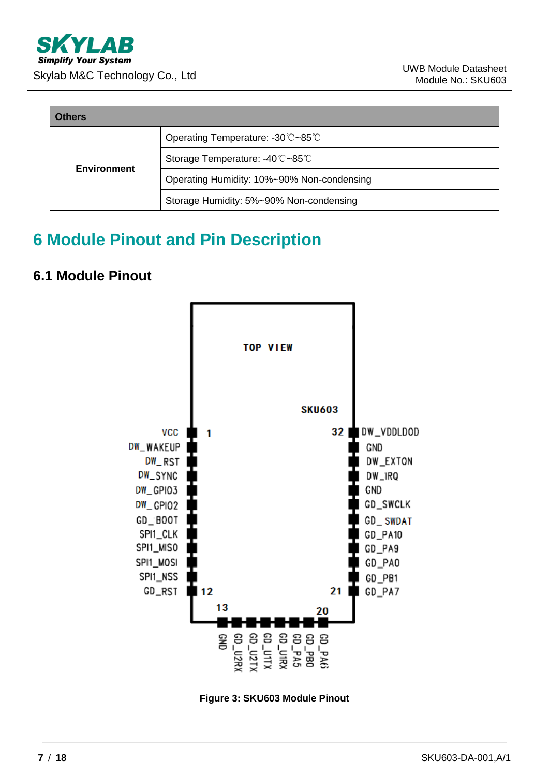| <b>Others</b>      |                                            |  |
|--------------------|--------------------------------------------|--|
|                    | Operating Temperature: -30℃~85℃            |  |
| <b>Environment</b> | Storage Temperature: -40℃~85℃              |  |
|                    | Operating Humidity: 10%~90% Non-condensing |  |
|                    | Storage Humidity: 5%~90% Non-condensing    |  |

# <span id="page-6-0"></span>**6 Module Pinout and Pin Description**

## <span id="page-6-1"></span>**6.1 Module Pinout**



**Figure 3: SKU603 Module Pinout**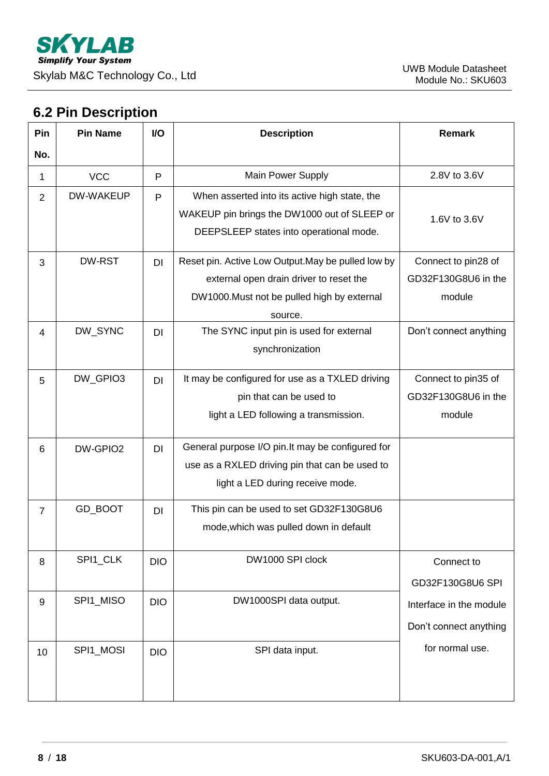## <span id="page-7-0"></span>**6.2 Pin Description**

| Pin            | <b>Pin Name</b> | I/O        | <b>Description</b>                                                                                                                                      | <b>Remark</b>                                        |
|----------------|-----------------|------------|---------------------------------------------------------------------------------------------------------------------------------------------------------|------------------------------------------------------|
| No.            |                 |            |                                                                                                                                                         |                                                      |
| 1              | <b>VCC</b>      | P          | Main Power Supply                                                                                                                                       | 2.8V to 3.6V                                         |
| $\overline{2}$ | DW-WAKEUP       | P          | When asserted into its active high state, the<br>WAKEUP pin brings the DW1000 out of SLEEP or<br>DEEPSLEEP states into operational mode.                | 1.6V to 3.6V                                         |
| 3              | DW-RST          | DI         | Reset pin. Active Low Output. May be pulled low by<br>external open drain driver to reset the<br>DW1000. Must not be pulled high by external<br>source. | Connect to pin28 of<br>GD32F130G8U6 in the<br>module |
| $\overline{4}$ | DW_SYNC         | <b>DI</b>  | The SYNC input pin is used for external<br>synchronization                                                                                              | Don't connect anything                               |
| 5              | DW_GPIO3        | DI         | It may be configured for use as a TXLED driving<br>pin that can be used to<br>light a LED following a transmission.                                     | Connect to pin35 of<br>GD32F130G8U6 in the<br>module |
| 6              | DW-GPIO2        | <b>DI</b>  | General purpose I/O pin. It may be configured for<br>use as a RXLED driving pin that can be used to<br>light a LED during receive mode.                 |                                                      |
| $\overline{7}$ | GD_BOOT         | <b>DI</b>  | This pin can be used to set GD32F130G8U6<br>mode, which was pulled down in default                                                                      |                                                      |
| 8              | SPI1_CLK        | <b>DIO</b> | DW1000 SPI clock                                                                                                                                        | Connect to<br>GD32F130G8U6 SPI                       |
| 9              | SPI1_MISO       | <b>DIO</b> | DW1000SPI data output.                                                                                                                                  | Interface in the module<br>Don't connect anything    |
| 10             | SPI1_MOSI       | <b>DIO</b> | SPI data input.                                                                                                                                         | for normal use.                                      |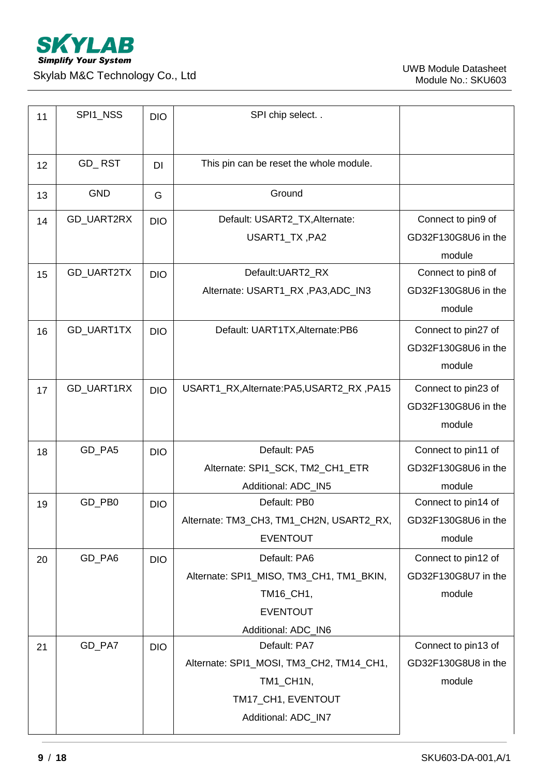

| 11 | SPI1_NSS   | <b>DIO</b> | SPI chip select                            |                     |
|----|------------|------------|--------------------------------------------|---------------------|
| 12 | GD_RST     | <b>DI</b>  | This pin can be reset the whole module.    |                     |
| 13 | <b>GND</b> | G          | Ground                                     |                     |
| 14 | GD_UART2RX | <b>DIO</b> | Default: USART2_TX, Alternate:             | Connect to pin9 of  |
|    |            |            | USART1_TX, PA2                             | GD32F130G8U6 in the |
|    |            |            |                                            | module              |
| 15 | GD_UART2TX | <b>DIO</b> | Default:UART2_RX                           | Connect to pin8 of  |
|    |            |            | Alternate: USART1_RX, PA3, ADC_IN3         | GD32F130G8U6 in the |
|    |            |            |                                            | module              |
| 16 | GD_UART1TX | <b>DIO</b> | Default: UART1TX, Alternate: PB6           | Connect to pin27 of |
|    |            |            |                                            | GD32F130G8U6 in the |
|    |            |            |                                            | module              |
| 17 | GD_UART1RX | <b>DIO</b> | USART1_RX, Alternate: PA5, USART2_RX, PA15 | Connect to pin23 of |
|    |            |            |                                            | GD32F130G8U6 in the |
|    |            |            |                                            | module              |
| 18 | GD_PA5     | <b>DIO</b> | Default: PA5                               | Connect to pin11 of |
|    |            |            | Alternate: SPI1_SCK, TM2_CH1_ETR           | GD32F130G8U6 in the |
|    |            |            |                                            |                     |
|    |            |            | Additional: ADC_IN5                        | module              |
| 19 | GD_PB0     | <b>DIO</b> | Default: PB0                               | Connect to pin14 of |
|    |            |            | Alternate: TM3_CH3, TM1_CH2N, USART2_RX,   | GD32F130G8U6 in the |
|    |            |            | <b>EVENTOUT</b>                            | module              |
| 20 | GD_PA6     | <b>DIO</b> | Default: PA6                               | Connect to pin12 of |
|    |            |            | Alternate: SPI1_MISO, TM3_CH1, TM1_BKIN,   | GD32F130G8U7 in the |
|    |            |            | TM16 CH1,                                  | module              |
|    |            |            | <b>EVENTOUT</b>                            |                     |
|    |            |            | Additional: ADC_IN6                        |                     |
| 21 | GD_PA7     | <b>DIO</b> | Default: PA7                               | Connect to pin13 of |
|    |            |            | Alternate: SPI1_MOSI, TM3_CH2, TM14_CH1,   | GD32F130G8U8 in the |
|    |            |            | TM1_CH1N,                                  | module              |
|    |            |            | TM17_CH1, EVENTOUT                         |                     |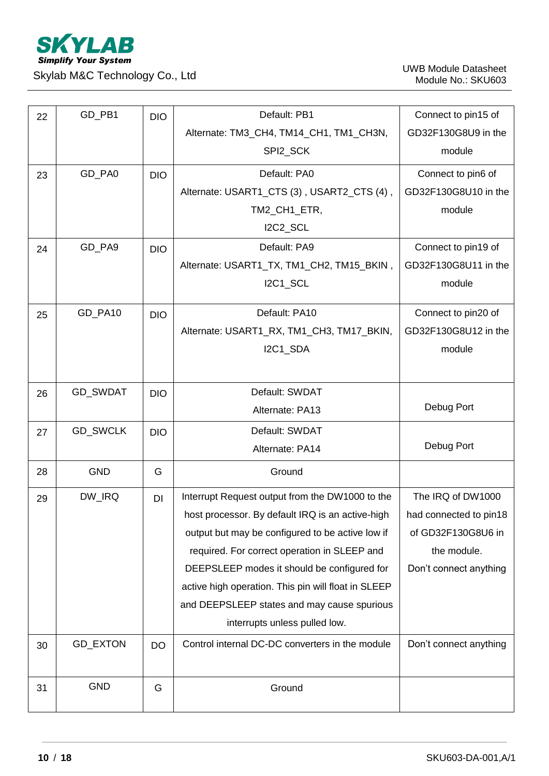

| 22 | GD_PB1          | <b>DIO</b> | Default: PB1                                        | Connect to pin15 of    |
|----|-----------------|------------|-----------------------------------------------------|------------------------|
|    |                 |            | Alternate: TM3_CH4, TM14_CH1, TM1_CH3N,             | GD32F130G8U9 in the    |
|    |                 |            | SPI2_SCK                                            | module                 |
| 23 | GD_PA0          | <b>DIO</b> | Default: PA0                                        | Connect to pin6 of     |
|    |                 |            | Alternate: USART1_CTS (3), USART2_CTS (4),          | GD32F130G8U10 in the   |
|    |                 |            | TM2_CH1_ETR,                                        | module                 |
|    |                 |            | I2C2_SCL                                            |                        |
| 24 | GD_PA9          | <b>DIO</b> | Default: PA9                                        | Connect to pin19 of    |
|    |                 |            | Alternate: USART1_TX, TM1_CH2, TM15_BKIN,           | GD32F130G8U11 in the   |
|    |                 |            | I2C1_SCL                                            | module                 |
| 25 | GD_PA10         | <b>DIO</b> | Default: PA10                                       | Connect to pin20 of    |
|    |                 |            | Alternate: USART1_RX, TM1_CH3, TM17_BKIN,           | GD32F130G8U12 in the   |
|    |                 |            | I2C1_SDA                                            | module                 |
|    |                 |            |                                                     |                        |
| 26 | GD_SWDAT        | <b>DIO</b> | Default: SWDAT                                      |                        |
|    |                 |            | Alternate: PA13                                     | Debug Port             |
| 27 | <b>GD_SWCLK</b> | <b>DIO</b> | Default: SWDAT                                      |                        |
|    |                 |            | Alternate: PA14                                     | Debug Port             |
| 28 | <b>GND</b>      | G          | Ground                                              |                        |
| 29 | DW_IRQ          | DI         | Interrupt Request output from the DW1000 to the     | The IRQ of DW1000      |
|    |                 |            | host processor. By default IRQ is an active-high    | had connected to pin18 |
|    |                 |            | output but may be configured to be active low if    | of GD32F130G8U6 in     |
|    |                 |            | required. For correct operation in SLEEP and        | the module.            |
|    |                 |            | DEEPSLEEP modes it should be configured for         | Don't connect anything |
|    |                 |            | active high operation. This pin will float in SLEEP |                        |
|    |                 |            | and DEEPSLEEP states and may cause spurious         |                        |
|    |                 |            | interrupts unless pulled low.                       |                        |
| 30 | <b>GD_EXTON</b> | <b>DO</b>  | Control internal DC-DC converters in the module     | Don't connect anything |
|    |                 |            |                                                     |                        |
| 31 | <b>GND</b>      | G          | Ground                                              |                        |
|    |                 |            |                                                     |                        |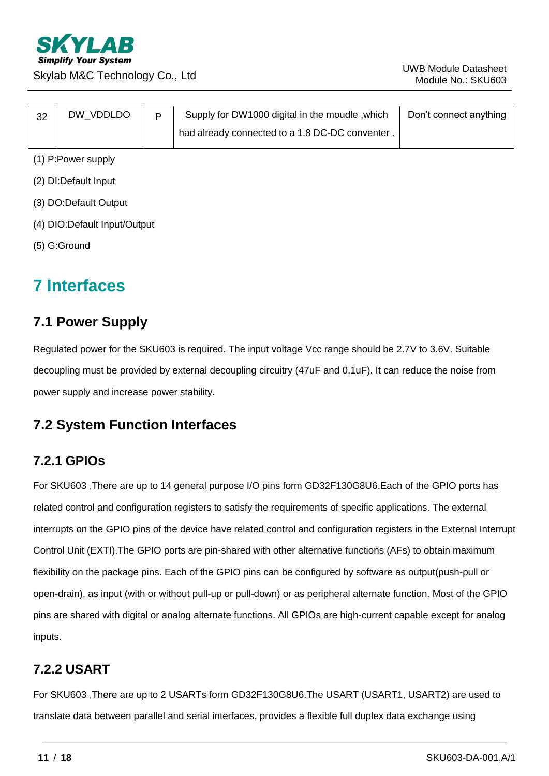

| 32 | DW VDDLDO | D | Supply for DW1000 digital in the moudle, which  | Don't connect anything |
|----|-----------|---|-------------------------------------------------|------------------------|
|    |           |   | had already connected to a 1.8 DC-DC conventer. |                        |

- (1) P:Power supply
- (2) DI:Default Input
- (3) DO:Default Output
- (4) DIO:Default Input/Output
- <span id="page-10-0"></span>(5) G:Ground

## **7 Interfaces**

## <span id="page-10-1"></span>**7.1 Power Supply**

Regulated power for the SKU603 is required. The input voltage Vcc range should be 2.7V to 3.6V. Suitable decoupling must be provided by external decoupling circuitry (47uF and 0.1uF). It can reduce the noise from power supply and increase power stability.

## <span id="page-10-2"></span>**7.2 System Function Interfaces**

## <span id="page-10-3"></span>**7.2.1 GPIOs**

For SKU603 ,There are up to 14 general purpose I/O pins form GD32F130G8U6.Each of the GPIO ports has related control and configuration registers to satisfy the requirements of specific applications. The external interrupts on the GPIO pins of the device have related control and configuration registers in the External Interrupt Control Unit (EXTI).The GPIO ports are pin-shared with other alternative functions (AFs) to obtain maximum flexibility on the package pins. Each of the GPIO pins can be configured by software as output(push-pull or open-drain), as input (with or without pull-up or pull-down) or as peripheral alternate function. Most of the GPIO pins are shared with digital or analog alternate functions. All GPIOs are high-current capable except for analog inputs.

## <span id="page-10-4"></span>**7.2.2 USART**

For SKU603 ,There are up to 2 USARTs form GD32F130G8U6.The USART (USART1, USART2) are used to translate data between parallel and serial interfaces, provides a flexible full duplex data exchange using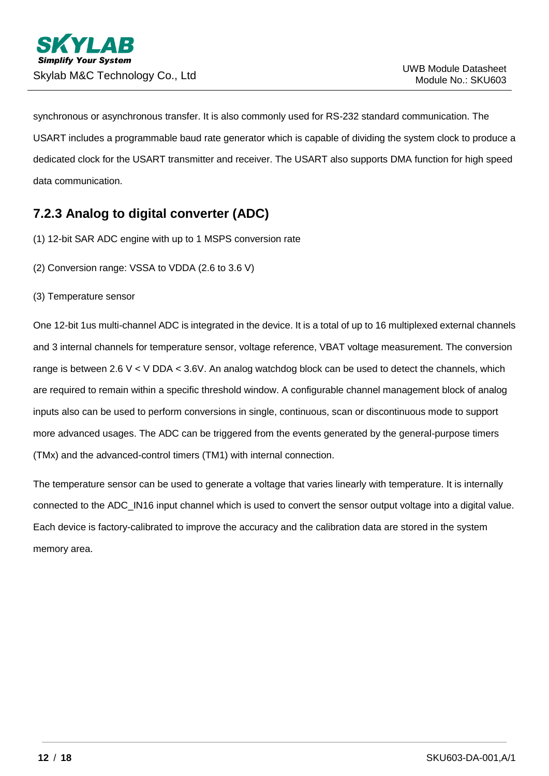synchronous or asynchronous transfer. It is also commonly used for RS-232 standard communication. The USART includes a programmable baud rate generator which is capable of dividing the system clock to produce a dedicated clock for the USART transmitter and receiver. The USART also supports DMA function for high speed data communication.

## <span id="page-11-0"></span>**7.2.3 Analog to digital converter (ADC)**

(1) 12-bit SAR ADC engine with up to 1 MSPS conversion rate

(2) Conversion range: VSSA to VDDA (2.6 to 3.6 V)

(3) Temperature sensor

One 12-bit 1us multi-channel ADC is integrated in the device. It is a total of up to 16 multiplexed external channels and 3 internal channels for temperature sensor, voltage reference, VBAT voltage measurement. The conversion range is between 2.6  $V < V$  DDA  $<$  3.6V. An analog watchdog block can be used to detect the channels, which are required to remain within a specific threshold window. A configurable channel management block of analog inputs also can be used to perform conversions in single, continuous, scan or discontinuous mode to support more advanced usages. The ADC can be triggered from the events generated by the general-purpose timers (TMx) and the advanced-control timers (TM1) with internal connection.

The temperature sensor can be used to generate a voltage that varies linearly with temperature. It is internally connected to the ADC\_IN16 input channel which is used to convert the sensor output voltage into a digital value. Each device is factory-calibrated to improve the accuracy and the calibration data are stored in the system memory area.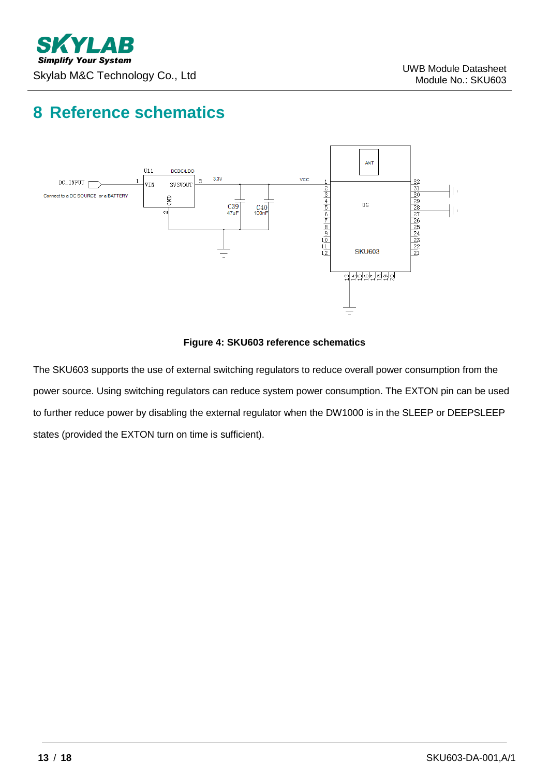# <span id="page-12-0"></span>**8 Reference schematics**



#### **Figure 4: SKU603 reference schematics**

The SKU603 supports the use of external switching regulators to reduce overall power consumption from the power source. Using switching regulators can reduce system power consumption. The EXTON pin can be used to further reduce power by disabling the external regulator when the DW1000 is in the SLEEP or DEEPSLEEP states (provided the EXTON turn on time is sufficient).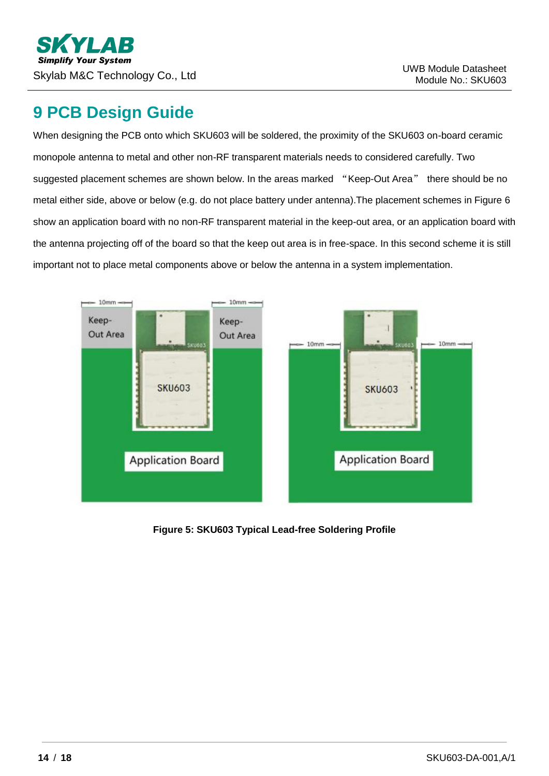## <span id="page-13-0"></span>**9 PCB Design Guide**

When designing the PCB onto which SKU603 will be soldered, the proximity of the SKU603 on-board ceramic monopole antenna to metal and other non-RF transparent materials needs to considered carefully. Two suggested placement schemes are shown below. In the areas marked "Keep-Out Area" there should be no metal either side, above or below (e.g. do not place battery under antenna).The placement schemes in Figure 6 show an application board with no non-RF transparent material in the keep-out area, or an application board with the antenna projecting off of the board so that the keep out area is in free-space. In this second scheme it is still important not to place metal components above or below the antenna in a system implementation.



**Figure 5: SKU603 Typical Lead-free Soldering Profile**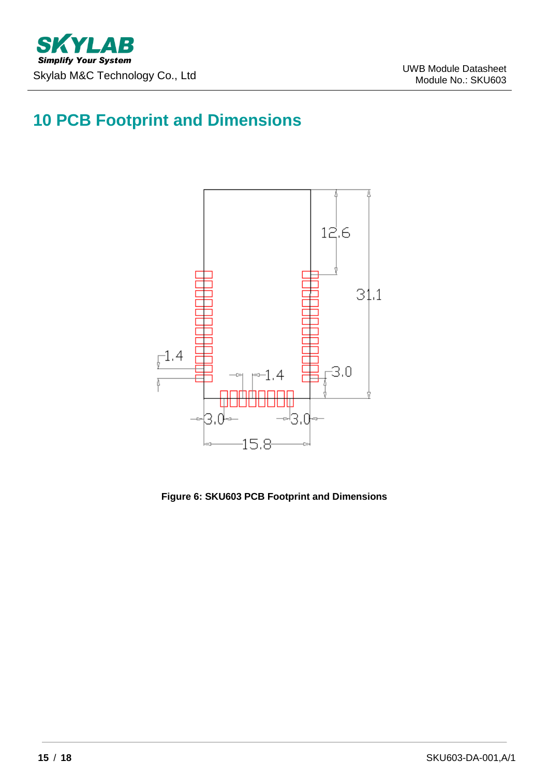# <span id="page-14-0"></span>**10 PCB Footprint and Dimensions**



**Figure 6: SKU603 PCB Footprint and Dimensions**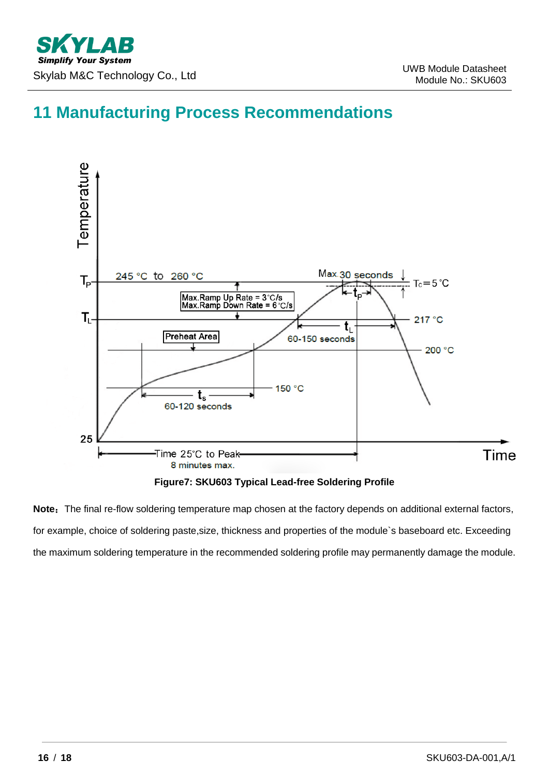## <span id="page-15-0"></span>**11 Manufacturing Process Recommendations**



**Figure7: SKU603 Typical Lead-free Soldering Profile**

Note: The final re-flow soldering temperature map chosen at the factory depends on additional external factors, for example, choice of soldering paste,size, thickness and properties of the module`s baseboard etc. Exceeding the maximum soldering temperature in the recommended soldering profile may permanently damage the module.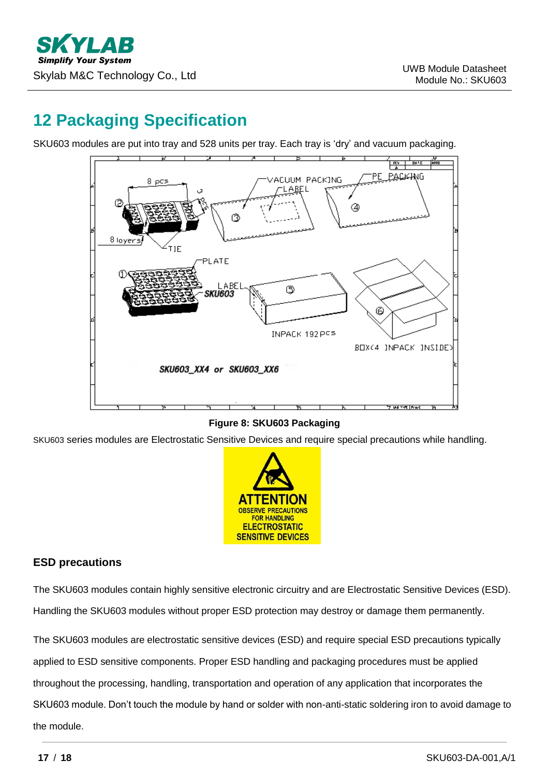# <span id="page-16-0"></span>**12 Packaging Specification**

SKU603 modules are put into tray and 528 units per tray. Each tray is 'dry' and vacuum packaging.



#### **Figure 8: SKU603 Packaging**

SKU603 series modules are Electrostatic Sensitive Devices and require special precautions while handling.



#### **ESD precautions**

The SKU603 modules contain highly sensitive electronic circuitry and are Electrostatic Sensitive Devices (ESD). Handling the SKU603 modules without proper ESD protection may destroy or damage them permanently.

The SKU603 modules are electrostatic sensitive devices (ESD) and require special ESD precautions typically applied to ESD sensitive components. Proper ESD handling and packaging procedures must be applied throughout the processing, handling, transportation and operation of any application that incorporates the SKU603 module. Don't touch the module by hand or solder with non-anti-static soldering iron to avoid damage to the module.